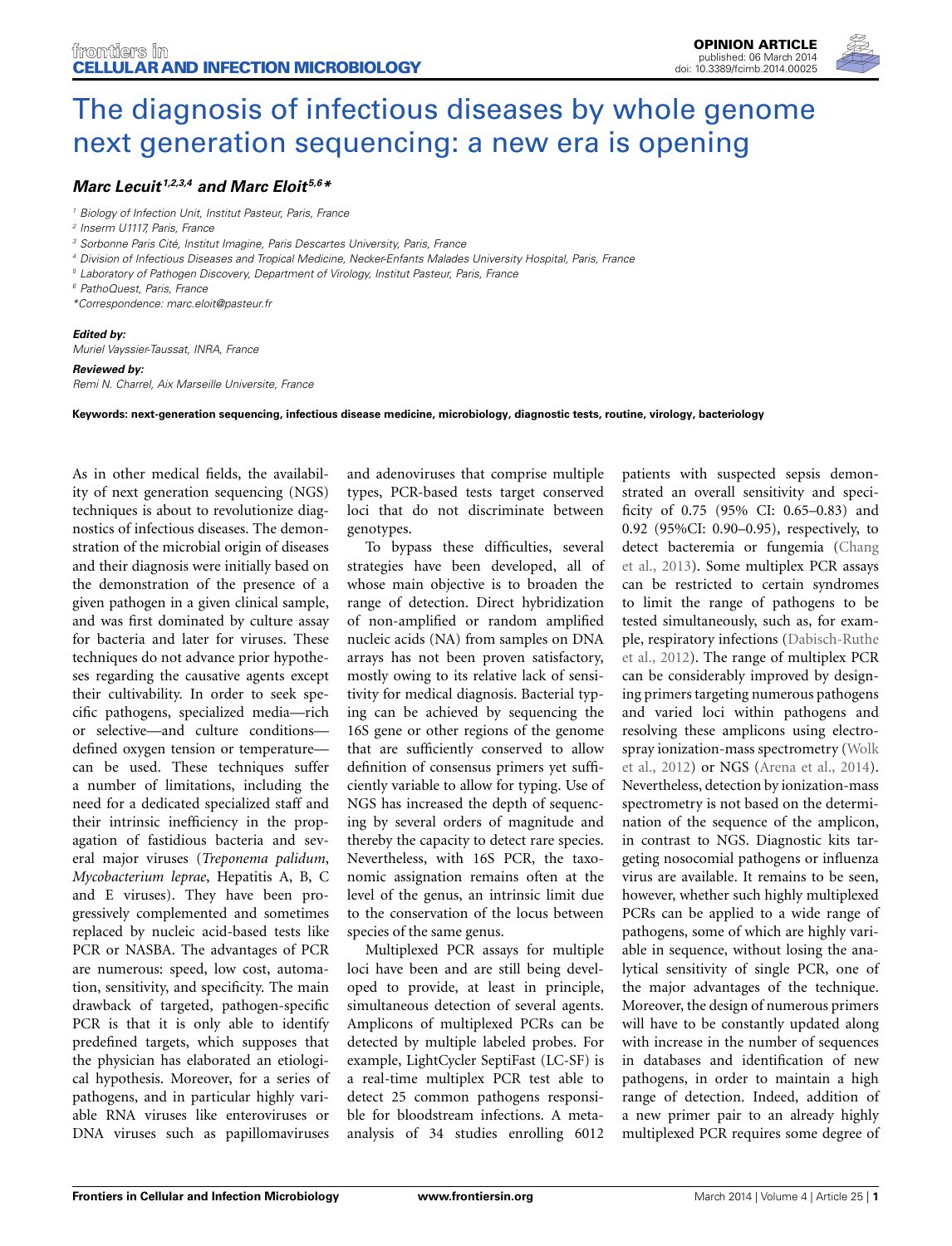

# *[Marc Lecuit](http://community.frontiersin.org/people/u/139031) 1,2,3,4 and [Marc Eloit](http://www.frontiersin.org/people/u/134754) 5,6\**

*<sup>1</sup> Biology of Infection Unit, Institut Pasteur, Paris, France*

- *<sup>2</sup> Inserm U1117, Paris, France*
- *<sup>3</sup> Sorbonne Paris Cité, Institut Imagine, Paris Descartes University, Paris, France*
- *<sup>4</sup> Division of Infectious Diseases and Tropical Medicine, Necker-Enfants Malades University Hospital, Paris, France*
- *<sup>5</sup> Laboratory of Pathogen Discovery, Department of Virology, Institut Pasteur, Paris, France*
- *<sup>6</sup> PathoQuest, Paris, France*
- *\*Correspondence: marc.eloit@pasteur.fr*

#### *Edited by:*

*Muriel Vayssier-Taussat, INRA, France*

### *Reviewed by:*

*Remi N. Charrel, Aix Marseille Universite, France*

**Keywords: next-generation sequencing, infectious disease medicine, microbiology, diagnostic tests, routine, virology, bacteriology**

As in other medical fields, the availability of next generation sequencing (NGS) techniques is about to revolutionize diagnostics of infectious diseases. The demonstration of the microbial origin of diseases and their diagnosis were initially based on the demonstration of the presence of a given pathogen in a given clinical sample, and was first dominated by culture assay for bacteria and later for viruses. These techniques do not advance prior hypotheses regarding the causative agents except their cultivability. In order to seek specific pathogens, specialized media—rich or selective—and culture conditions defined oxygen tension or temperature can be used. These techniques suffer a number of limitations, including the need for a dedicated specialized staff and their intrinsic inefficiency in the propagation of fastidious bacteria and several major viruses (*Treponema palidum*, *Mycobacterium leprae*, Hepatitis A, B, C and E viruses). They have been progressively complemented and sometimes replaced by nucleic acid-based tests like PCR or NASBA. The advantages of PCR are numerous: speed, low cost, automation, sensitivity, and specificity. The main drawback of targeted, pathogen-specific PCR is that it is only able to identify predefined targets, which supposes that the physician has elaborated an etiological hypothesis. Moreover, for a series of pathogens, and in particular highly variable RNA viruses like enteroviruses or DNA viruses such as papillomaviruses

and adenoviruses that comprise multiple types, PCR-based tests target conserved loci that do not discriminate between genotypes.

To bypass these difficulties, several strategies have been developed, all of whose main objective is to broaden the range of detection. Direct hybridization of non-amplified or random amplified nucleic acids (NA) from samples on DNA arrays has not been proven satisfactory, mostly owing to its relative lack of sensitivity for medical diagnosis. Bacterial typing can be achieved by sequencing the 16S gene or other regions of the genome that are sufficiently conserved to allow definition of consensus primers yet sufficiently variable to allow for typing. Use of NGS has increased the depth of sequencing by several orders of magnitude and thereby the capacity to detect rare species. Nevertheless, with 16S PCR, the taxonomic assignation remains often at the level of the genus, an intrinsic limit due to the conservation of the locus between species of the same genus.

Multiplexed PCR assays for multiple loci have been and are still being developed to provide, at least in principle, simultaneous detection of several agents. Amplicons of multiplexed PCRs can be detected by multiple labeled probes. For example, LightCycler SeptiFast (LC-SF) is a real-time multiplex PCR test able to detect 25 common pathogens responsible for bloodstream infections. A metaanalysis of 34 studies enrolling 6012 patients with suspected sepsis demonstrated an overall sensitivity and specificity of 0.75 (95% CI: 0.65–0.83) and 0.92 (95%CI: 0.90–0.95), respectively, to dete[ct bacteremia or fungemia \(](#page-2-0)Chang et al., [2013](#page-2-0)). Some multiplex PCR assays can be restricted to certain syndromes to limit the range of pathogens to be tested simultaneously, such as, for example, [respiratory infections \(](#page-2-1)Dabisch-Ruthe et al., [2012](#page-2-1)). The range of multiplex PCR can be considerably improved by designing primers targeting numerous pathogens and varied loci within pathogens and resolving these amplicons using electrospra[y ionization-mass spectrometry \(](#page-2-2)Wolk et al., [2012\)](#page-2-2) or NGS [\(Arena et al.](#page-2-3), [2014](#page-2-3)). Nevertheless, detection by ionization-mass spectrometry is not based on the determination of the sequence of the amplicon, in contrast to NGS. Diagnostic kits targeting nosocomial pathogens or influenza virus are available. It remains to be seen, however, whether such highly multiplexed PCRs can be applied to a wide range of pathogens, some of which are highly variable in sequence, without losing the analytical sensitivity of single PCR, one of the major advantages of the technique. Moreover, the design of numerous primers will have to be constantly updated along with increase in the number of sequences in databases and identification of new pathogens, in order to maintain a high range of detection. Indeed, addition of a new primer pair to an already highly multiplexed PCR requires some degree of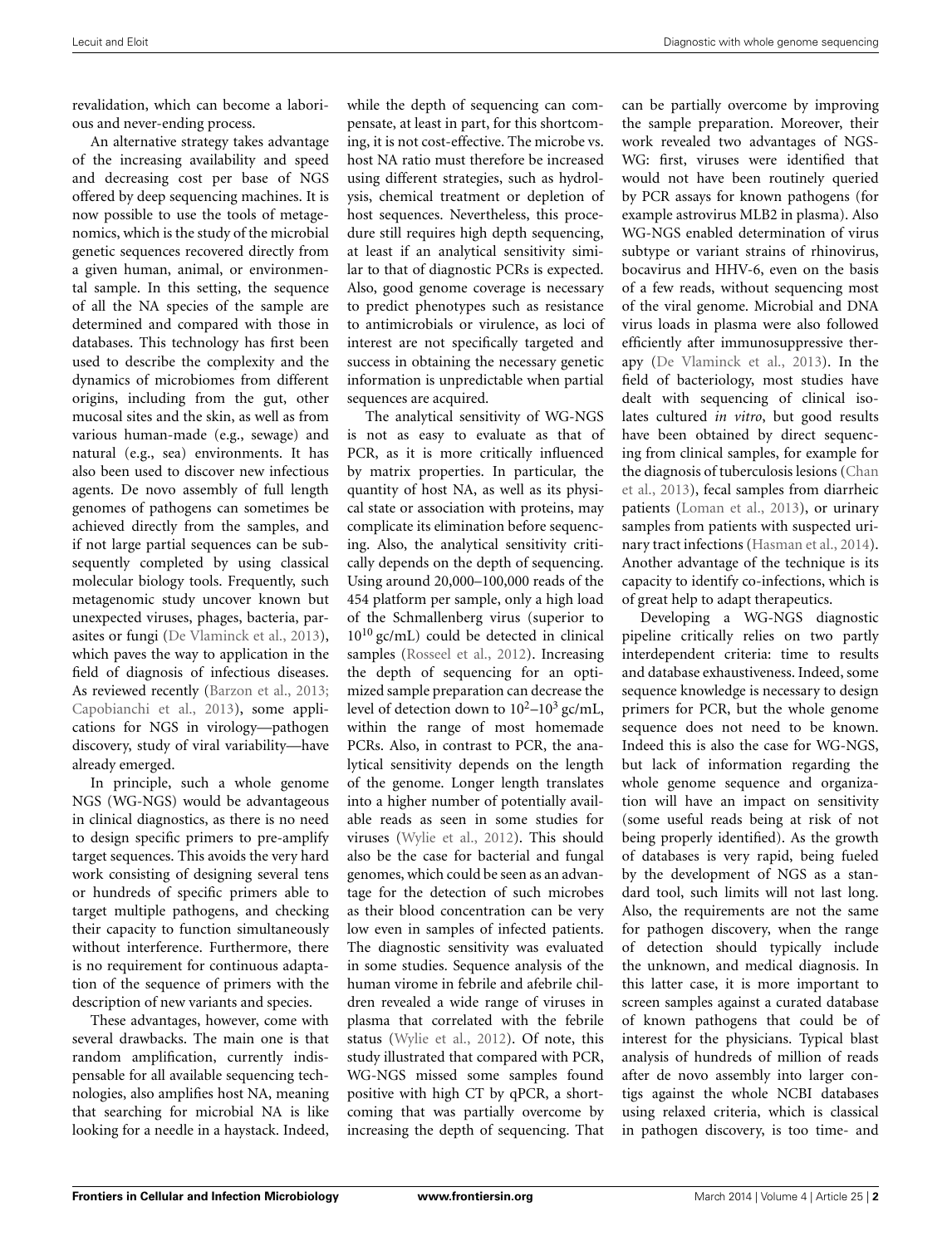revalidation, which can become a laborious and never-ending process.

An alternative strategy takes advantage of the increasing availability and speed and decreasing cost per base of NGS offered by deep sequencing machines. It is now possible to use the tools of metagenomics, which is the study of the microbial genetic sequences recovered directly from a given human, animal, or environmental sample. In this setting, the sequence of all the NA species of the sample are determined and compared with those in databases. This technology has first been used to describe the complexity and the dynamics of microbiomes from different origins, including from the gut, other mucosal sites and the skin, as well as from various human-made (e.g., sewage) and natural (e.g., sea) environments. It has also been used to discover new infectious agents. De novo assembly of full length genomes of pathogens can sometimes be achieved directly from the samples, and if not large partial sequences can be subsequently completed by using classical molecular biology tools. Frequently, such metagenomic study uncover known but unexpected viruses, phages, bacteria, parasites or fungi [\(De Vlaminck et al., 2013](#page-2-4)), which paves the way to application in the field of diagnosis of infectious diseases. As reviewed recently [\(Barzon et al., 2013;](#page-2-5) [Capobianchi et al.](#page-2-6), [2013](#page-2-6)), some applications for NGS in virology—pathogen discovery, study of viral variability—have already emerged.

In principle, such a whole genome NGS (WG-NGS) would be advantageous in clinical diagnostics, as there is no need to design specific primers to pre-amplify target sequences. This avoids the very hard work consisting of designing several tens or hundreds of specific primers able to target multiple pathogens, and checking their capacity to function simultaneously without interference. Furthermore, there is no requirement for continuous adaptation of the sequence of primers with the description of new variants and species.

These advantages, however, come with several drawbacks. The main one is that random amplification, currently indispensable for all available sequencing technologies, also amplifies host NA, meaning that searching for microbial NA is like looking for a needle in a haystack. Indeed, while the depth of sequencing can compensate, at least in part, for this shortcoming, it is not cost-effective. The microbe vs. host NA ratio must therefore be increased using different strategies, such as hydrolysis, chemical treatment or depletion of host sequences. Nevertheless, this procedure still requires high depth sequencing, at least if an analytical sensitivity similar to that of diagnostic PCRs is expected. Also, good genome coverage is necessary to predict phenotypes such as resistance to antimicrobials or virulence, as loci of interest are not specifically targeted and success in obtaining the necessary genetic information is unpredictable when partial sequences are acquired.

The analytical sensitivity of WG-NGS is not as easy to evaluate as that of PCR, as it is more critically influenced by matrix properties. In particular, the quantity of host NA, as well as its physical state or association with proteins, may complicate its elimination before sequencing. Also, the analytical sensitivity critically depends on the depth of sequencing. Using around 20,000–100,000 reads of the 454 platform per sample, only a high load of the Schmallenberg virus (superior to  $10^{10}$  gc/mL) could be detected in clinical samples [\(Rosseel et al.](#page-2-7), [2012](#page-2-7)). Increasing the depth of sequencing for an optimized sample preparation can decrease the level of detection down to  $10^2-10^3$  gc/mL, within the range of most homemade PCRs. Also, in contrast to PCR, the analytical sensitivity depends on the length of the genome. Longer length translates into a higher number of potentially available reads as seen in some studies for viruses [\(Wylie et al., 2012](#page-2-8)). This should also be the case for bacterial and fungal genomes, which could be seen as an advantage for the detection of such microbes as their blood concentration can be very low even in samples of infected patients. The diagnostic sensitivity was evaluated in some studies. Sequence analysis of the human virome in febrile and afebrile children revealed a wide range of viruses in plasma that correlated with the febrile status [\(Wylie et al.](#page-2-8), [2012\)](#page-2-8). Of note, this study illustrated that compared with PCR, WG-NGS missed some samples found positive with high CT by qPCR, a shortcoming that was partially overcome by increasing the depth of sequencing. That

can be partially overcome by improving the sample preparation. Moreover, their work revealed two advantages of NGS-WG: first, viruses were identified that would not have been routinely queried by PCR assays for known pathogens (for example astrovirus MLB2 in plasma). Also WG-NGS enabled determination of virus subtype or variant strains of rhinovirus, bocavirus and HHV-6, even on the basis of a few reads, without sequencing most of the viral genome. Microbial and DNA virus loads in plasma were also followed efficiently after immunosuppressive therapy [\(De Vlaminck et al., 2013](#page-2-4)). In the field of bacteriology, most studies have dealt with sequencing of clinical isolates cultured *in vitro*, but good results have been obtained by direct sequencing from clinical samples, for example for the [diagnosis of tuberculosis lesions \(](#page-2-9)Chan et al., [2013](#page-2-9)), fecal samples from diarrheic patients [\(Loman et al.](#page-2-10), [2013](#page-2-10)), or urinary samples from patients with suspected urinary tract infections [\(Hasman et al., 2014\)](#page-2-11). Another advantage of the technique is its capacity to identify co-infections, which is of great help to adapt therapeutics.

Developing a WG-NGS diagnostic pipeline critically relies on two partly interdependent criteria: time to results and database exhaustiveness. Indeed, some sequence knowledge is necessary to design primers for PCR, but the whole genome sequence does not need to be known. Indeed this is also the case for WG-NGS, but lack of information regarding the whole genome sequence and organization will have an impact on sensitivity (some useful reads being at risk of not being properly identified). As the growth of databases is very rapid, being fueled by the development of NGS as a standard tool, such limits will not last long. Also, the requirements are not the same for pathogen discovery, when the range of detection should typically include the unknown, and medical diagnosis. In this latter case, it is more important to screen samples against a curated database of known pathogens that could be of interest for the physicians. Typical blast analysis of hundreds of million of reads after de novo assembly into larger contigs against the whole NCBI databases using relaxed criteria, which is classical in pathogen discovery, is too time- and